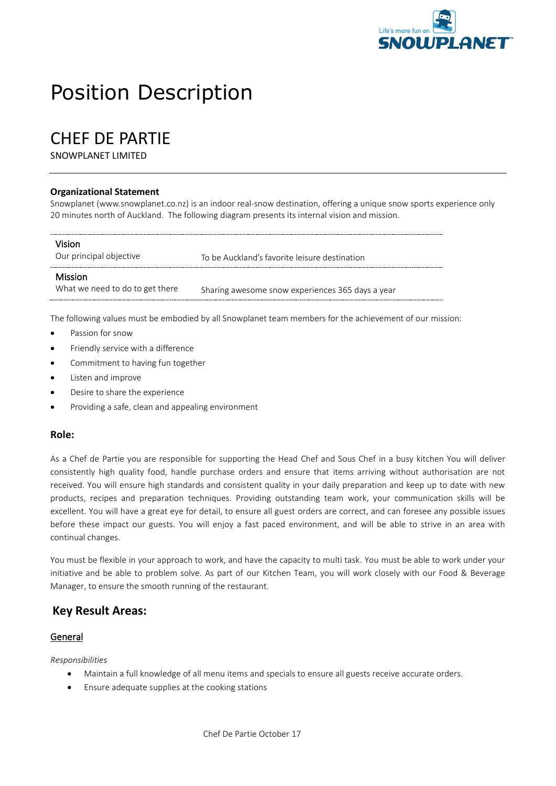

# Position Description

# CHEF DE PARTIE

SNOWPLANET LIMITED

#### **Organizational Statement**

Snowplanet (www.snowplanet.co.nz) is an indoor real-snow destination, offering a unique snow sports experience only 20 minutes north of Auckland. The following diagram presents its internal vision and mission.

| Vision<br>Our principal objective                 | To be Auckland's favorite leisure destination    |
|---------------------------------------------------|--------------------------------------------------|
| <b>Mission</b><br>What we need to do to get there | Sharing awesome snow experiences 365 days a year |

The following values must be embodied by all Snowplanet team members for the achievement of our mission:

- Passion for snow
- Friendly service with a difference
- Commitment to having fun together
- Listen and improve
- Desire to share the experience
- Providing a safe, clean and appealing environment

#### **Role:**

As a Chef de Partie you are responsible for supporting the Head Chef and Sous Chef in a busy kitchen You will deliver consistently high quality food, handle purchase orders and ensure that items arriving without authorisation are not received. You will ensure high standards and consistent quality in your daily preparation and keep up to date with new products, recipes and preparation techniques. Providing outstanding team work, your communication skills will be excellent. You will have a great eye for detail, to ensure all guest orders are correct, and can foresee any possible issues before these impact our guests. You will enjoy a fast paced environment, and will be able to strive in an area with continual changes.

You must be flexible in your approach to work, and have the capacity to multi task. You must be able to work under your initiative and be able to problem solve. As part of our Kitchen Team, you will work closely with our Food & Beverage Manager, to ensure the smooth running of the restaurant.

#### **Key Result Areas:**

#### General

*Responsibilities*

- Maintain a full knowledge of all menu items and specials to ensure all guests receive accurate orders.
- Ensure adequate supplies at the cooking stations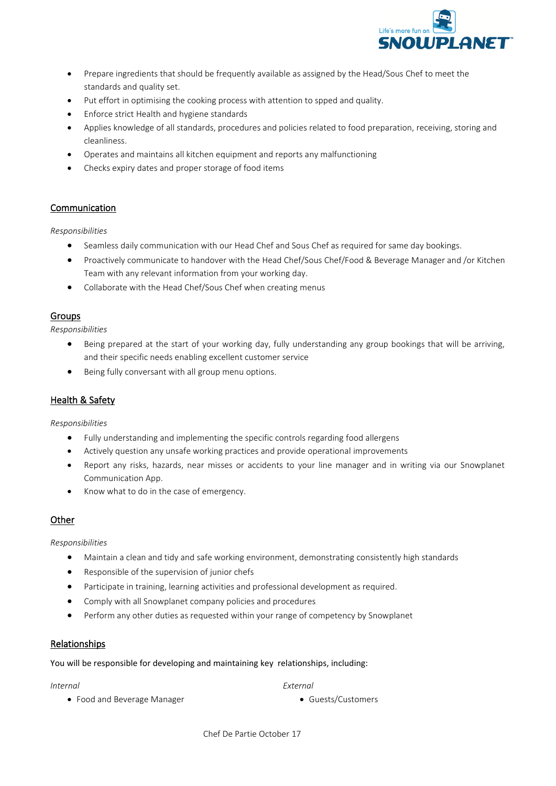

- Prepare ingredients that should be frequently available as assigned by the Head/Sous Chef to meet the standards and quality set.
- Put effort in optimising the cooking process with attention to spped and quality.
- Enforce strict Health and hygiene standards
- Applies knowledge of all standards, procedures and policies related to food preparation, receiving, storing and cleanliness.
- Operates and maintains all kitchen equipment and reports any malfunctioning
- Checks expiry dates and proper storage of food items

#### Communication

*Responsibilities*

- Seamless daily communication with our Head Chef and Sous Chef as required for same day bookings.
- Proactively communicate to handover with the Head Chef/Sous Chef/Food & Beverage Manager and /or Kitchen Team with any relevant information from your working day.
- Collaborate with the Head Chef/Sous Chef when creating menus

#### Groups

*Responsibilities*

- Being prepared at the start of your working day, fully understanding any group bookings that will be arriving, and their specific needs enabling excellent customer service
- Being fully conversant with all group menu options.

#### Health & Safety

*Responsibilities*

- Fully understanding and implementing the specific controls regarding food allergens
- Actively question any unsafe working practices and provide operational improvements
- Report any risks, hazards, near misses or accidents to your line manager and in writing via our Snowplanet Communication App.
- Know what to do in the case of emergency.

#### **Other**

*Responsibilities*

- Maintain a clean and tidy and safe working environment, demonstrating consistently high standards
- Responsible of the supervision of junior chefs
- Participate in training, learning activities and professional development as required.
- Comply with all Snowplanet company policies and procedures
- Perform any other duties as requested within your range of competency by Snowplanet

#### Relationships

You will be responsible for developing and maintaining key relationships, including:

#### *Internal*

*External*

• Food and Beverage Manager

• Guests/Customers